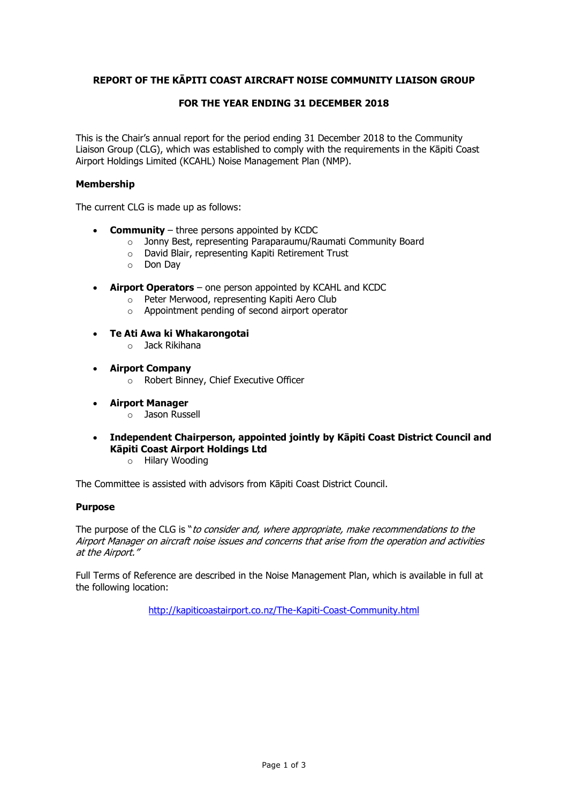# **REPORT OF THE KĀPITI COAST AIRCRAFT NOISE COMMUNITY LIAISON GROUP**

# **FOR THE YEAR ENDING 31 DECEMBER 2018**

This is the Chair's annual report for the period ending 31 December 2018 to the Community Liaison Group (CLG), which was established to comply with the requirements in the Kāpiti Coast Airport Holdings Limited (KCAHL) Noise Management Plan (NMP).

### **Membership**

The current CLG is made up as follows:

- **Community**  three persons appointed by KCDC
	- o Jonny Best, representing Paraparaumu/Raumati Community Board
	- o David Blair, representing Kapiti Retirement Trust
	- o Don Day
- **Airport Operators** one person appointed by KCAHL and KCDC
	- o Peter Merwood, representing Kapiti Aero Club
	- o Appointment pending of second airport operator
- **Te Ati Awa ki Whakarongotai**
	- o Jack Rikihana
- **Airport Company**
	- o Robert Binney, Chief Executive Officer
- **Airport Manager**
	- o Jason Russell
- **Independent Chairperson, appointed jointly by Kāpiti Coast District Council and Kāpiti Coast Airport Holdings Ltd**
	- o Hilary Wooding

The Committee is assisted with advisors from Kāpiti Coast District Council.

#### **Purpose**

The purpose of the CLG is "to consider and, where appropriate, make recommendations to the Airport Manager on aircraft noise issues and concerns that arise from the operation and activities at the Airport."

Full Terms of Reference are described in the Noise Management Plan, which is available in full at the following location:

<http://kapiticoastairport.co.nz/The-Kapiti-Coast-Community.html>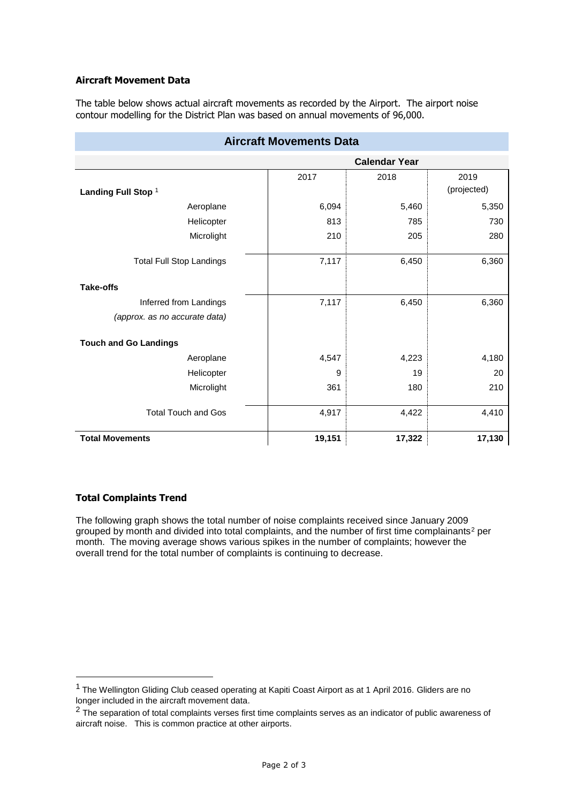# **Aircraft Movement Data**

The table below shows actual aircraft movements as recorded by the Airport. The airport noise contour modelling for the District Plan was based on annual movements of 96,000.

| Aircraft Movements Data         |                      |        |             |
|---------------------------------|----------------------|--------|-------------|
|                                 | <b>Calendar Year</b> |        |             |
|                                 | 2017                 | 2018   | 2019        |
| Landing Full Stop <sup>1</sup>  |                      |        | (projected) |
| Aeroplane                       | 6,094                | 5,460  | 5,350       |
| Helicopter                      | 813                  | 785    | 730         |
| Microlight                      | 210                  | 205    | 280         |
| <b>Total Full Stop Landings</b> | 7,117                | 6,450  | 6,360       |
| <b>Take-offs</b>                |                      |        |             |
| Inferred from Landings          | 7,117                | 6,450  | 6,360       |
| (approx. as no accurate data)   |                      |        |             |
| <b>Touch and Go Landings</b>    |                      |        |             |
| Aeroplane                       | 4,547                | 4,223  | 4,180       |
| Helicopter                      | 9                    | 19     | 20          |
| Microlight                      | 361                  | 180    | 210         |
| <b>Total Touch and Gos</b>      | 4,917                | 4,422  | 4,410       |
| <b>Total Movements</b>          | 19,151               | 17,322 | 17,130      |

# **Aircraft Movements Data**

### **Total Complaints Trend**

1

The following graph shows the total number of noise complaints received since January 2009 grouped by month and divided into total complaints, and the number of first time complainants<sup>2</sup> per month. The moving average shows various spikes in the number of complaints; however the overall trend for the total number of complaints is continuing to decrease.

<sup>&</sup>lt;sup>1</sup> The Wellington Gliding Club ceased operating at Kapiti Coast Airport as at 1 April 2016. Gliders are no longer included in the aircraft movement data.

<sup>&</sup>lt;sup>2</sup> The separation of total complaints verses first time complaints serves as an indicator of public awareness of aircraft noise. This is common practice at other airports.